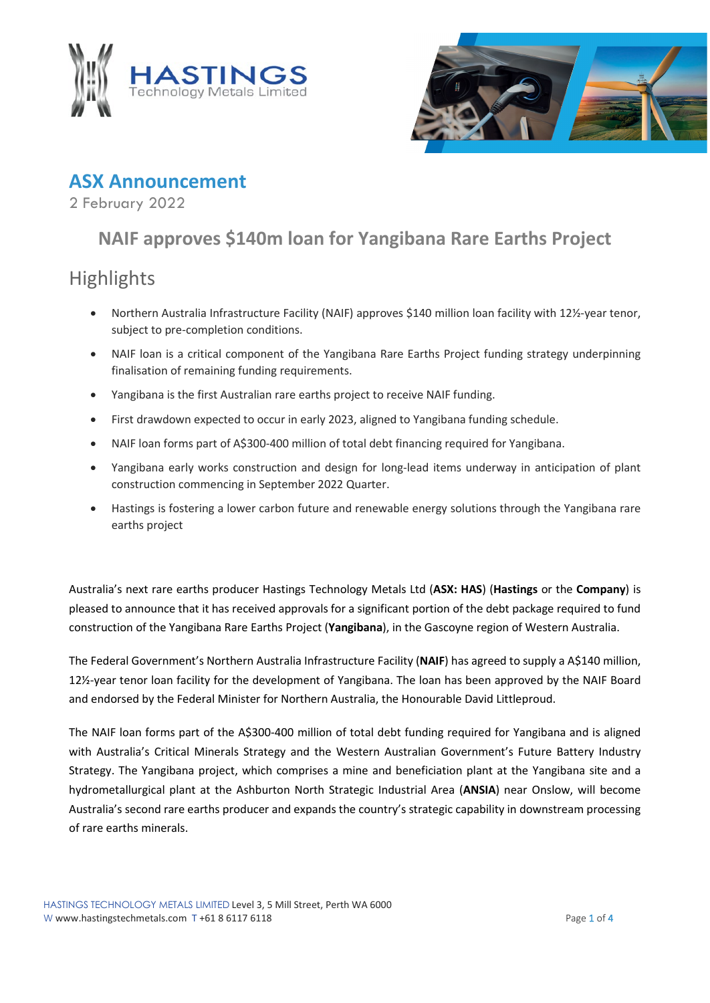



### **ASX Announcement**

2 February 2022

# **NAIF approves \$140m loan for Yangibana Rare Earths Project**

## Highlights

- Northern Australia Infrastructure Facility (NAIF) approves \$140 million loan facility with 12½-year tenor, subject to pre-completion conditions.
- NAIF loan is a critical component of the Yangibana Rare Earths Project funding strategy underpinning finalisation of remaining funding requirements.
- Yangibana is the first Australian rare earths project to receive NAIF funding.
- First drawdown expected to occur in early 2023, aligned to Yangibana funding schedule.
- NAIF loan forms part of A\$300-400 million of total debt financing required for Yangibana.
- Yangibana early works construction and design for long-lead items underway in anticipation of plant construction commencing in September 2022 Quarter.
- Hastings is fostering a lower carbon future and renewable energy solutions through the Yangibana rare earths project

Australia's next rare earths producer Hastings Technology Metals Ltd (**ASX: HAS**) (**Hastings** or the **Company**) is pleased to announce that it has received approvals for a significant portion of the debt package required to fund construction of the Yangibana Rare Earths Project (**Yangibana**), in the Gascoyne region of Western Australia.

The Federal Government's Northern Australia Infrastructure Facility (**NAIF**) has agreed to supply a A\$140 million, 12½-year tenor loan facility for the development of Yangibana. The loan has been approved by the NAIF Board and endorsed by the Federal Minister for Northern Australia, the Honourable David Littleproud.

The NAIF loan forms part of the A\$300-400 million of total debt funding required for Yangibana and is aligned with Australia's Critical Minerals Strategy and the Western Australian Government's Future Battery Industry Strategy. The Yangibana project, which comprises a mine and beneficiation plant at the Yangibana site and a hydrometallurgical plant at the Ashburton North Strategic Industrial Area (**ANSIA**) near Onslow, will become Australia's second rare earths producer and expands the country's strategic capability in downstream processing of rare earths minerals.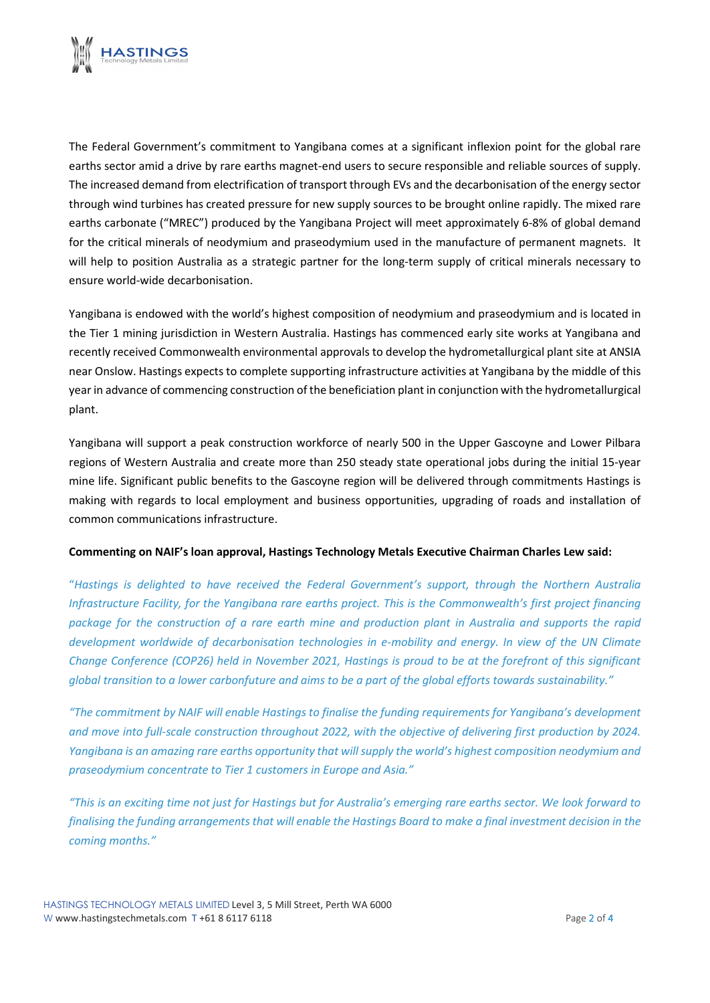

The Federal Government's commitment to Yangibana comes at a significant inflexion point for the global rare earths sector amid a drive by rare earths magnet-end users to secure responsible and reliable sources of supply. The increased demand from electrification of transport through EVs and the decarbonisation of the energy sector through wind turbines has created pressure for new supply sources to be brought online rapidly. The mixed rare earths carbonate ("MREC") produced by the Yangibana Project will meet approximately 6-8% of global demand for the critical minerals of neodymium and praseodymium used in the manufacture of permanent magnets. It will help to position Australia as a strategic partner for the long-term supply of critical minerals necessary to ensure world-wide decarbonisation.

Yangibana is endowed with the world's highest composition of neodymium and praseodymium and is located in the Tier 1 mining jurisdiction in Western Australia. Hastings has commenced early site works at Yangibana and recently received Commonwealth environmental approvals to develop the hydrometallurgical plant site at ANSIA near Onslow. Hastings expects to complete supporting infrastructure activities at Yangibana by the middle of this year in advance of commencing construction of the beneficiation plant in conjunction with the hydrometallurgical plant.

Yangibana will support a peak construction workforce of nearly 500 in the Upper Gascoyne and Lower Pilbara regions of Western Australia and create more than 250 steady state operational jobs during the initial 15-year mine life. Significant public benefits to the Gascoyne region will be delivered through commitments Hastings is making with regards to local employment and business opportunities, upgrading of roads and installation of common communications infrastructure.

#### **Commenting on NAIF's loan approval, Hastings Technology Metals Executive Chairman Charles Lew said:**

"*Hastings is delighted to have received the Federal Government's support, through the Northern Australia Infrastructure Facility, for the Yangibana rare earths project. This is the Commonwealth's first project financing package for the construction of a rare earth mine and production plant in Australia and supports the rapid development worldwide of decarbonisation technologies in e-mobility and energy. In view of the UN Climate Change Conference (COP26) held in November 2021, Hastings is proud to be at the forefront of this significant global transition to a lower carbonfuture and aims to be a part of the global efforts towards sustainability."*

*"The commitment by NAIF will enable Hastings to finalise the funding requirements for Yangibana's development and move into full-scale construction throughout 2022, with the objective of delivering first production by 2024. Yangibana is an amazing rare earths opportunity that will supply the world's highest composition neodymium and praseodymium concentrate to Tier 1 customers in Europe and Asia."*

*"This is an exciting time not just for Hastings but for Australia's emerging rare earths sector. We look forward to finalising the funding arrangements that will enable the Hastings Board to make a final investment decision in the coming months."*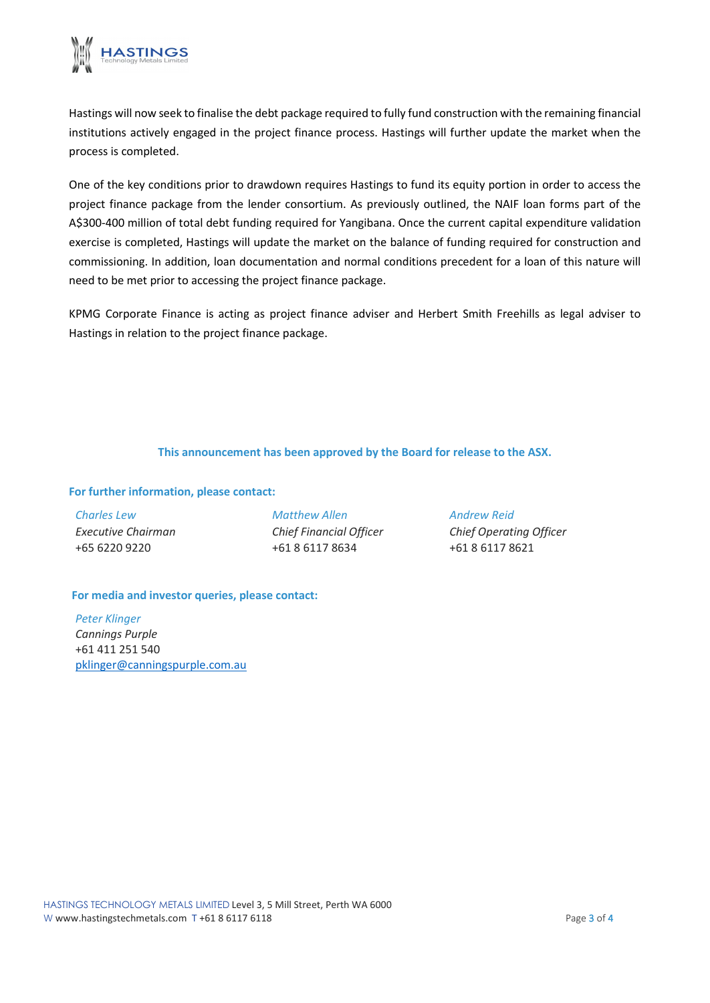

Hastings will now seek to finalise the debt package required to fully fund construction with the remaining financial institutions actively engaged in the project finance process. Hastings will further update the market when the process is completed.

One of the key conditions prior to drawdown requires Hastings to fund its equity portion in order to access the project finance package from the lender consortium. As previously outlined, the NAIF loan forms part of the A\$300-400 million of total debt funding required for Yangibana. Once the current capital expenditure validation exercise is completed, Hastings will update the market on the balance of funding required for construction and commissioning. In addition, loan documentation and normal conditions precedent for a loan of this nature will need to be met prior to accessing the project finance package.

KPMG Corporate Finance is acting as project finance adviser and Herbert Smith Freehills as legal adviser to Hastings in relation to the project finance package.

#### **This announcement has been approved by the Board for release to the ASX.**

#### **For further information, please contact:**

| <b>Charles Lew</b> |
|--------------------|
| Executive Chairman |
| +65 6220 9220      |

*Matthew Allen Chief Financial Officer* +61 8 6117 8634

*Andrew Reid Chief Operating Officer* +61 8 6117 8621

#### **For media and investor queries, please contact:**

*Peter Klinger Cannings Purple* +61 411 251 540 [pklinger@canningspurple.com.au](mailto:pklinger@canningspurple.com.au)